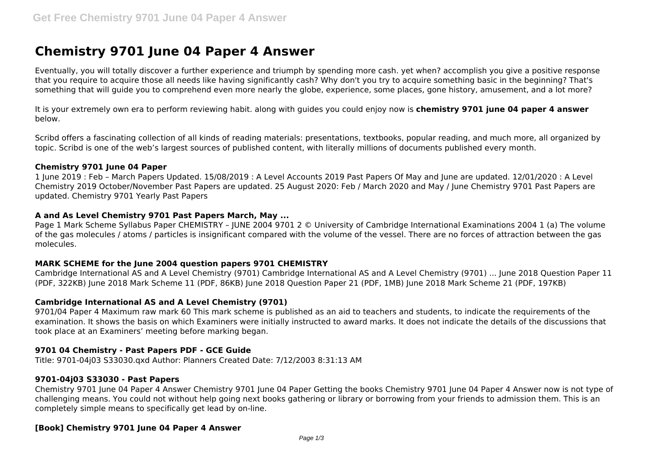# **Chemistry 9701 June 04 Paper 4 Answer**

Eventually, you will totally discover a further experience and triumph by spending more cash. yet when? accomplish you give a positive response that you require to acquire those all needs like having significantly cash? Why don't you try to acquire something basic in the beginning? That's something that will guide you to comprehend even more nearly the globe, experience, some places, gone history, amusement, and a lot more?

It is your extremely own era to perform reviewing habit. along with guides you could enjoy now is **chemistry 9701 june 04 paper 4 answer** below.

Scribd offers a fascinating collection of all kinds of reading materials: presentations, textbooks, popular reading, and much more, all organized by topic. Scribd is one of the web's largest sources of published content, with literally millions of documents published every month.

## **Chemistry 9701 June 04 Paper**

1 June 2019 : Feb – March Papers Updated. 15/08/2019 : A Level Accounts 2019 Past Papers Of May and June are updated. 12/01/2020 : A Level Chemistry 2019 October/November Past Papers are updated. 25 August 2020: Feb / March 2020 and May / June Chemistry 9701 Past Papers are updated. Chemistry 9701 Yearly Past Papers

## **A and As Level Chemistry 9701 Past Papers March, May ...**

Page 1 Mark Scheme Syllabus Paper CHEMISTRY – JUNE 2004 9701 2 © University of Cambridge International Examinations 2004 1 (a) The volume of the gas molecules / atoms / particles is insignificant compared with the volume of the vessel. There are no forces of attraction between the gas molecules.

# **MARK SCHEME for the June 2004 question papers 9701 CHEMISTRY**

Cambridge International AS and A Level Chemistry (9701) Cambridge International AS and A Level Chemistry (9701) ... June 2018 Question Paper 11 (PDF, 322KB) June 2018 Mark Scheme 11 (PDF, 86KB) June 2018 Question Paper 21 (PDF, 1MB) June 2018 Mark Scheme 21 (PDF, 197KB)

## **Cambridge International AS and A Level Chemistry (9701)**

9701/04 Paper 4 Maximum raw mark 60 This mark scheme is published as an aid to teachers and students, to indicate the requirements of the examination. It shows the basis on which Examiners were initially instructed to award marks. It does not indicate the details of the discussions that took place at an Examiners' meeting before marking began.

# **9701 04 Chemistry - Past Papers PDF - GCE Guide**

Title: 9701-04j03 S33030.qxd Author: Planners Created Date: 7/12/2003 8:31:13 AM

## **9701-04j03 S33030 - Past Papers**

Chemistry 9701 June 04 Paper 4 Answer Chemistry 9701 June 04 Paper Getting the books Chemistry 9701 June 04 Paper 4 Answer now is not type of challenging means. You could not without help going next books gathering or library or borrowing from your friends to admission them. This is an completely simple means to specifically get lead by on-line.

# **[Book] Chemistry 9701 June 04 Paper 4 Answer**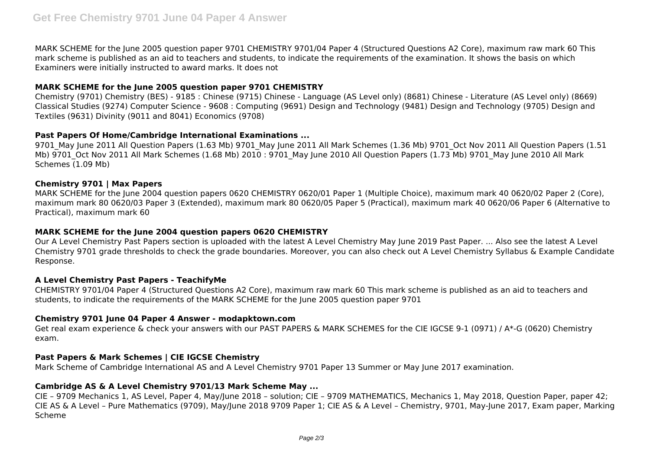MARK SCHEME for the June 2005 question paper 9701 CHEMISTRY 9701/04 Paper 4 (Structured Questions A2 Core), maximum raw mark 60 This mark scheme is published as an aid to teachers and students, to indicate the requirements of the examination. It shows the basis on which Examiners were initially instructed to award marks. It does not

# **MARK SCHEME for the June 2005 question paper 9701 CHEMISTRY**

Chemistry (9701) Chemistry (BES) - 9185 : Chinese (9715) Chinese - Language (AS Level only) (8681) Chinese - Literature (AS Level only) (8669) Classical Studies (9274) Computer Science - 9608 : Computing (9691) Design and Technology (9481) Design and Technology (9705) Design and Textiles (9631) Divinity (9011 and 8041) Economics (9708)

## **Past Papers Of Home/Cambridge International Examinations ...**

9701 May June 2011 All Ouestion Papers (1.63 Mb) 9701 May June 2011 All Mark Schemes (1.36 Mb) 9701 Oct Nov 2011 All Ouestion Papers (1.51 Mb) 9701 Oct Nov 2011 All Mark Schemes (1.68 Mb) 2010 : 9701 May June 2010 All Question Papers (1.73 Mb) 9701 May June 2010 All Mark Schemes (1.09 Mb)

# **Chemistry 9701 | Max Papers**

MARK SCHEME for the June 2004 question papers 0620 CHEMISTRY 0620/01 Paper 1 (Multiple Choice), maximum mark 40 0620/02 Paper 2 (Core), maximum mark 80 0620/03 Paper 3 (Extended), maximum mark 80 0620/05 Paper 5 (Practical), maximum mark 40 0620/06 Paper 6 (Alternative to Practical), maximum mark 60

## **MARK SCHEME for the June 2004 question papers 0620 CHEMISTRY**

Our A Level Chemistry Past Papers section is uploaded with the latest A Level Chemistry May June 2019 Past Paper. ... Also see the latest A Level Chemistry 9701 grade thresholds to check the grade boundaries. Moreover, you can also check out A Level Chemistry Syllabus & Example Candidate Response.

## **A Level Chemistry Past Papers - TeachifyMe**

CHEMISTRY 9701/04 Paper 4 (Structured Questions A2 Core), maximum raw mark 60 This mark scheme is published as an aid to teachers and students, to indicate the requirements of the MARK SCHEME for the June 2005 question paper 9701

## **Chemistry 9701 June 04 Paper 4 Answer - modapktown.com**

Get real exam experience & check your answers with our PAST PAPERS & MARK SCHEMES for the CIE IGCSE 9-1 (0971) / A\*-G (0620) Chemistry exam.

# **Past Papers & Mark Schemes | CIE IGCSE Chemistry**

Mark Scheme of Cambridge International AS and A Level Chemistry 9701 Paper 13 Summer or May June 2017 examination.

## **Cambridge AS & A Level Chemistry 9701/13 Mark Scheme May ...**

CIE – 9709 Mechanics 1, AS Level, Paper 4, May/June 2018 – solution; CIE – 9709 MATHEMATICS, Mechanics 1, May 2018, Question Paper, paper 42; CIE AS & A Level – Pure Mathematics (9709), May/June 2018 9709 Paper 1; CIE AS & A Level – Chemistry, 9701, May-June 2017, Exam paper, Marking Scheme